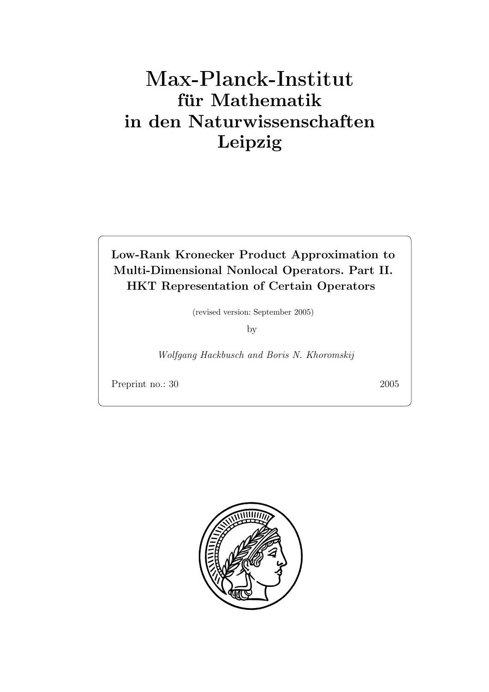# **fur Mathematik ¨ in den Naturwissenschaften Leipzig**

**Low-Rank Kronecker Product Approximation to Multi-Dimensional Nonlocal Operators. Part II. HKT Representation of Certain Operators**

(revised version: September 2005)

by

*Wolfgang Hackbusch and Boris N. Khoromskij*

Preprint no.: 30 2005

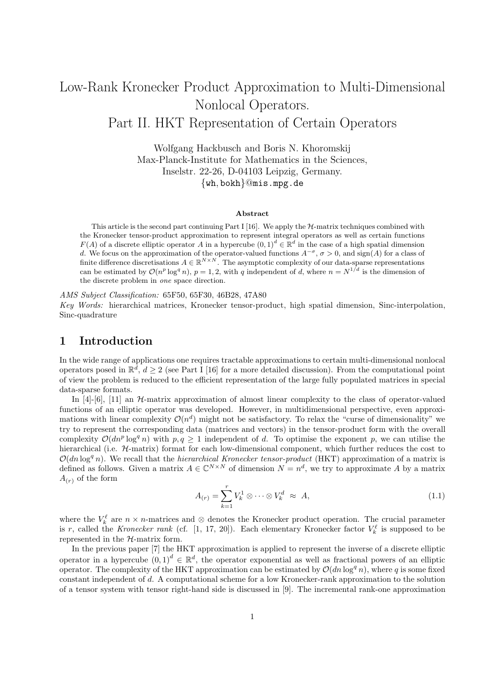# Low-Rank Kronecker Product Approximation to Multi-Dimensional Nonlocal Operators. Part II. HKT Representation of Certain Operators

Wolfgang Hackbusch and Boris N. Khoromskij Max-Planck-Institute for Mathematics in the Sciences, Inselstr. 22-26, D-04103 Leipzig, Germany. {wh*,* bokh}@mis.mpg.de

#### **Abstract**

This article is the second part continuing Part I [16]. We apply the  $H$ -matrix techniques combined with the Kronecker tensor-product approximation to represent integral operators as well as certain functions  $F(A)$  of a discrete elliptic operator A in a hypercube  $(0, 1)^d \in \mathbb{R}^d$  in the case of a high spatial dimension d. We focus on the approximation of the operator-valued functions  $A^{-\sigma}$ ,  $\sigma > 0$ , and sign(A) for a class of finite difference discretisations  $A \in \mathbb{R}^{N \times N}$ . The asymptotic complexity of our data-sparse representations can be estimated by  $\mathcal{O}(n^p \log^q n)$ ,  $p = 1, 2$ , with q independent of d, where  $n = N^{1/d}$  is the dimension of the discrete problem in *one* space direction.

*AMS Subject Classification:* 65F50, 65F30, 46B28, 47A80

*Key Words:* hierarchical matrices, Kronecker tensor-product, high spatial dimension, Sinc-interpolation, Sinc-quadrature

# **1 Introduction**

In the wide range of applications one requires tractable approximations to certain multi-dimensional nonlocal operators posed in  $\mathbb{R}^d$ ,  $d \geq 2$  (see Part I [16] for a more detailed discussion). From the computational point of view the problem is reduced to the efficient representation of the large fully populated matrices in special data-sparse formats.

In [4]-[6], [11] an  $H$ -matrix approximation of almost linear complexity to the class of operator-valued functions of an elliptic operator was developed. However, in multidimensional perspective, even approximations with linear complexity  $\mathcal{O}(n^d)$  might not be satisfactory. To relax the "curse of dimensionality" we try to represent the corresponding data (matrices and vectors) in the tensor-product form with the overall complexity  $\mathcal{O}(dn^p \log^q n)$  with  $p, q \ge 1$  independent of d. To optimise the exponent p, we can utilise the hierarchical (i.e.  $H$ -matrix) format for each low-dimensional component, which further reduces the cost to  $\mathcal{O}(dn \log^q n)$ . We recall that the *hierarchical Kronecker tensor-product* (HKT) approximation of a matrix is defined as follows. Given a matrix  $A \in \mathbb{C}^{N \times N}$  of dimension  $N = n^d$ , we try to approximate A by a matrix  $A_{(r)}$  of the form

$$
A_{(r)} = \sum_{k=1}^{r} V_k^1 \otimes \cdots \otimes V_k^d \approx A,
$$
\n(1.1)

where the  $V_k^{\ell}$  are  $n \times n$ -matrices and ⊗ denotes the Kronecker product operation. The crucial parameter is r, called the *Kronecker rank* (cf. [1, 17, 20]). Each elementary Kronecker factor  $V_k^{\ell}$  is supposed to be represented in the H-matrix form.

In the previous paper [7] the HKT approximation is applied to represent the inverse of a discrete elliptic operator in a hypercube  $(0, 1)^d \in \mathbb{R}^d$ , the operator exponential as well as fractional powers of an elliptic operator. The complexity of the HKT approximation can be estimated by  $\mathcal{O}(dn \log^q n)$ , where q is some fixed constant independent of d. A computational scheme for a low Kronecker-rank approximation to the solution of a tensor system with tensor right-hand side is discussed in [9]. The incremental rank-one approximation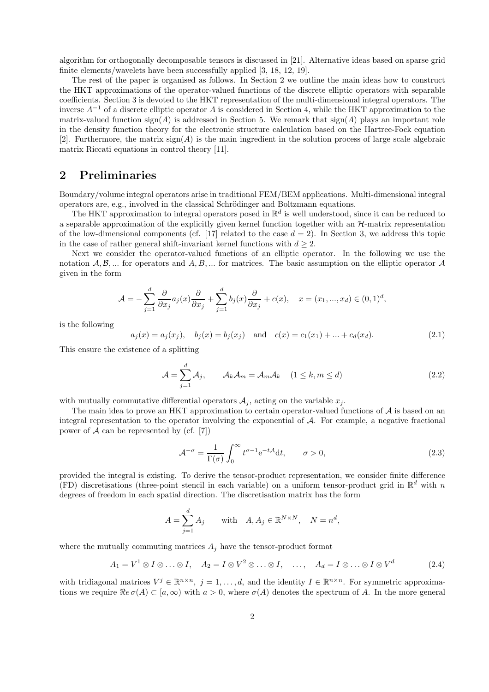algorithm for orthogonally decomposable tensors is discussed in [21]. Alternative ideas based on sparse grid finite elements/wavelets have been successfully applied [3, 18, 12, 19].

The rest of the paper is organised as follows. In Section 2 we outline the main ideas how to construct the HKT approximations of the operator-valued functions of the discrete elliptic operators with separable coefficients. Section 3 is devoted to the HKT representation of the multi-dimensional integral operators. The inverse  $A^{-1}$  of a discrete elliptic operator A is considered in Section 4, while the HKT approximation to the matrix-valued function  $sign(A)$  is addressed in Section 5. We remark that  $sign(A)$  plays an important role in the density function theory for the electronic structure calculation based on the Hartree-Fock equation [2]. Furthermore, the matrix  $sign(A)$  is the main ingredient in the solution process of large scale algebraic matrix Riccati equations in control theory [11].

# **2 Preliminaries**

Boundary/volume integral operators arise in traditional FEM/BEM applications. Multi-dimensional integral operators are, e.g., involved in the classical Schrödinger and Boltzmann equations.

The HKT approximation to integral operators posed in  $\mathbb{R}^d$  is well understood, since it can be reduced to a separable approximation of the explicitly given kernel function together with an  $H$ -matrix representation of the low-dimensional components (cf. [17] related to the case  $d = 2$ ). In Section 3, we address this topic in the case of rather general shift-invariant kernel functions with  $d \geq 2$ .

Next we consider the operator-valued functions of an elliptic operator. In the following we use the notation  $A, B, \ldots$  for operators and  $A, B, \ldots$  for matrices. The basic assumption on the elliptic operator  $A$ given in the form

$$
\mathcal{A} = -\sum_{j=1}^d \frac{\partial}{\partial x_j} a_j(x) \frac{\partial}{\partial x_j} + \sum_{j=1}^d b_j(x) \frac{\partial}{\partial x_j} + c(x), \quad x = (x_1, ..., x_d) \in (0, 1)^d,
$$

is the following

$$
a_j(x) = a_j(x_j), b_j(x) = b_j(x_j)
$$
 and  $c(x) = c_1(x_1) + ... + c_d(x_d).$  (2.1)

This ensure the existence of a splitting

$$
\mathcal{A} = \sum_{j=1}^{d} \mathcal{A}_{j}, \qquad \mathcal{A}_{k} \mathcal{A}_{m} = \mathcal{A}_{m} \mathcal{A}_{k} \quad (1 \leq k, m \leq d)
$$
\n(2.2)

with mutually commutative differential operators  $A_j$ , acting on the variable  $x_j$ .

The main idea to prove an HKT approximation to certain operator-valued functions of  $A$  is based on an integral representation to the operator involving the exponential of A. For example, a negative fractional power of  $A$  can be represented by (cf. [7])

$$
\mathcal{A}^{-\sigma} = \frac{1}{\Gamma(\sigma)} \int_0^\infty t^{\sigma - 1} e^{-t\mathcal{A}} dt, \qquad \sigma > 0,
$$
\n(2.3)

provided the integral is existing. To derive the tensor-product representation, we consider finite difference (FD) discretisations (three-point stencil in each variable) on a uniform tensor-product grid in  $\mathbb{R}^d$  with n degrees of freedom in each spatial direction. The discretisation matrix has the form

$$
A = \sum_{j=1}^{d} A_j \quad \text{with} \quad A, A_j \in \mathbb{R}^{N \times N}, \quad N = n^d,
$$

where the mutually commuting matrices  $A_j$  have the tensor-product format

$$
A_1 = V^1 \otimes I \otimes \ldots \otimes I, \quad A_2 = I \otimes V^2 \otimes \ldots \otimes I, \quad \ldots, \quad A_d = I \otimes \ldots \otimes I \otimes V^d \tag{2.4}
$$

with tridiagonal matrices  $V^j \in \mathbb{R}^{n \times n}$ ,  $j = 1, \ldots, d$ , and the identity  $I \in \mathbb{R}^{n \times n}$ . For symmetric approximations we require  $\Re e \sigma(A) \subset [a, \infty)$  with  $a > 0$ , where  $\sigma(A)$  denotes the spectrum of A. In the more general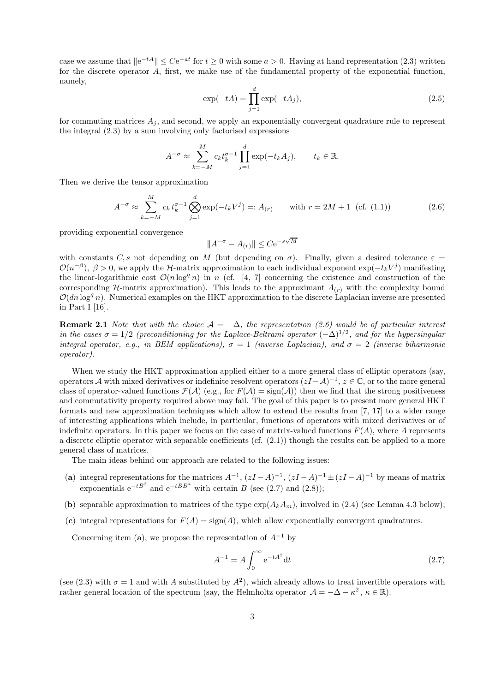case we assume that  $\left\|e^{-tA}\right\| \leq Ce^{-at}$  for  $t \geq 0$  with some  $a > 0$ . Having at hand representation (2.3) written for the discrete operator A, first, we make use of the fundamental property of the exponential function, namely,

$$
\exp(-tA) = \prod_{j=1}^{d} \exp(-tA_j),\tag{2.5}
$$

for commuting matrices  $A_j$ , and second, we apply an exponentially convergent quadrature rule to represent the integral (2.3) by a sum involving only factorised expressions

$$
A^{-\sigma} \approx \sum_{k=-M}^{M} c_k t_k^{\sigma-1} \prod_{j=1}^d \exp(-t_k A_j), \qquad t_k \in \mathbb{R}.
$$

Then we derive the tensor approximation

$$
A^{-\sigma} \approx \sum_{k=-M}^{M} c_k t_k^{\sigma-1} \bigotimes_{j=1}^{d} \exp(-t_k V^j) =: A_{(r)} \quad \text{with } r = 2M + 1 \text{ (cf. (1.1))}
$$
 (2.6)

providing exponential convergence

$$
||A^{-\sigma} - A_{(r)}|| \leq C e^{-s\sqrt{M}}
$$

with constants C, s not depending on M (but depending on  $\sigma$ ). Finally, given a desired tolerance  $\varepsilon =$  $\mathcal{O}(n^{-\beta})$ ,  $\beta > 0$ , we apply the H-matrix approximation to each individual exponent exp $(-t_kV^j)$  manifesting the linear-logarithmic cost  $\mathcal{O}(n \log^q n)$  in n (cf. [4, 7] concerning the existence and construction of the corresponding H-matrix approximation). This leads to the approximant  $A_{(r)}$  with the complexity bound  $\mathcal{O}(dn \log^q n)$ . Numerical examples on the HKT approximation to the discrete Laplacian inverse are presented in Part I [16].

**Remark 2.1** *Note that with the choice*  $A = -\Delta$ *, the representation (2.6) would be of particular interest in the cases*  $\sigma = 1/2$  *(preconditioning for the Laplace-Beltrami operator*  $(-\Delta)^{1/2}$ *, and for the hypersingular integral operator, e.g., in BEM applications),*  $\sigma = 1$  *(inverse Laplacian), and*  $\sigma = 2$  *(inverse biharmonic operator).*

When we study the HKT approximation applied either to a more general class of elliptic operators (say, operators A with mixed derivatives or indefinite resolvent operators  $(zI-\mathcal{A})^{-1}$ ,  $z \in \mathbb{C}$ , or to the more general class of operator-valued functions  $\mathcal{F}(\mathcal{A})$  (e.g., for  $F(\mathcal{A}) = \text{sign}(\mathcal{A})$ ) then we find that the strong positiveness and commutativity property required above may fail. The goal of this paper is to present more general HKT formats and new approximation techniques which allow to extend the results from [7, 17] to a wider range of interesting applications which include, in particular, functions of operators with mixed derivatives or of indefinite operators. In this paper we focus on the case of matrix-valued functions  $F(A)$ , where A represents a discrete elliptic operator with separable coefficients (cf. (2.1)) though the results can be applied to a more general class of matrices.

The main ideas behind our approach are related to the following issues:

- (**a**) integral representations for the matrices  $A^{-1}$ ,  $(zI A)^{-1}$ ,  $(zI A)^{-1} \pm (\bar{z}I A)^{-1}$  by means of matrix exponentials  $e^{-tB^2}$  and  $e^{-tBB^*}$  with certain B (see (2.7) and (2.8));
- (**b**) separable approximation to matrices of the type  $\exp(A_k A_m)$ , involved in (2.4) (see Lemma 4.3 below);
- (c) integral representations for  $F(A) = \text{sign}(A)$ , which allow exponentially convergent quadratures.

Concerning item (**a**), we propose the representation of  $A^{-1}$  by

$$
A^{-1} = A \int_0^\infty e^{-tA^2} dt
$$
 (2.7)

(see (2.3) with  $\sigma = 1$  and with A substituted by  $A^2$ ), which already allows to treat invertible operators with rather general location of the spectrum (say, the Helmholtz operator  $\mathcal{A} = -\Delta - \kappa^2$ ,  $\kappa \in \mathbb{R}$ ).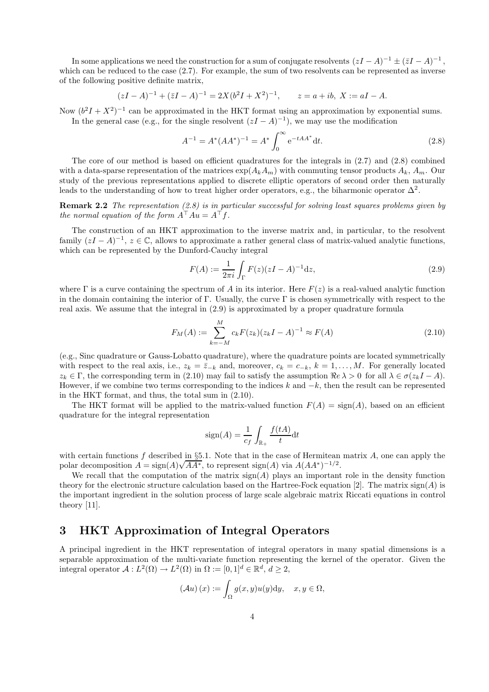In some applications we need the construction for a sum of conjugate resolvents  $(zI - A)^{-1} \pm (\bar{z}I - A)^{-1}$ , which can be reduced to the case  $(2.7)$ . For example, the sum of two resolvents can be represented as inverse of the following positive definite matrix,

$$
(zI - A)^{-1} + (\bar{z}I - A)^{-1} = 2X(b^2I + X^2)^{-1}, \qquad z = a + ib, \ X := aI - A.
$$

Now  $(b^2I + X^2)^{-1}$  can be approximated in the HKT format using an approximation by exponential sums. In the general case (e.g., for the single resolvent  $(zI - A)^{-1}$ ), we may use the modification

$$
A^{-1} = A^*(AA^*)^{-1} = A^* \int_0^\infty e^{-tAA^*} dt.
$$
 (2.8)

The core of our method is based on efficient quadratures for the integrals in  $(2.7)$  and  $(2.8)$  combined with a data-sparse representation of the matrices  $\exp(A_k A_m)$  with commuting tensor products  $A_k$ ,  $A_m$ . Our study of the previous representations applied to discrete elliptic operators of second order then naturally leads to the understanding of how to treat higher order operators, e.g., the biharmonic operator  $\Delta^2$ .

**Remark 2.2** *The representation (2.8) is in particular successful for solving least squares problems given by the normal equation of the form*  $A^{\top} A u = A^{\top} f$ .

The construction of an HKT approximation to the inverse matrix and, in particular, to the resolvent family  $(zI - A)^{-1}$ ,  $z \in \mathbb{C}$ , allows to approximate a rather general class of matrix-valued analytic functions, which can be represented by the Dunford-Cauchy integral

$$
F(A) := \frac{1}{2\pi i} \int_{\Gamma} F(z)(zI - A)^{-1} \mathrm{d}z,\tag{2.9}
$$

where  $\Gamma$  is a curve containing the spectrum of A in its interior. Here  $F(z)$  is a real-valued analytic function in the domain containing the interior of Γ. Usually, the curve  $\Gamma$  is chosen symmetrically with respect to the real axis. We assume that the integral in (2.9) is approximated by a proper quadrature formula

$$
F_M(A) := \sum_{k=-M}^{M} c_k F(z_k)(z_k I - A)^{-1} \approx F(A)
$$
\n(2.10)

(e.g., Sinc quadrature or Gauss-Lobatto quadrature), where the quadrature points are located symmetrically with respect to the real axis, i.e.,  $z_k = \bar{z}_{-k}$  and, moreover,  $c_k = c_{-k}$ ,  $k = 1, \ldots, M$ . For generally located  $z_k \in \Gamma$ , the corresponding term in (2.10) may fail to satisfy the assumption  $\Re e \lambda > 0$  for all  $\lambda \in \sigma(z_kI - A)$ . However, if we combine two terms corresponding to the indices k and  $-k$ , then the result can be represented in the HKT format, and thus, the total sum in (2.10).

The HKT format will be applied to the matrix-valued function  $F(A) = \text{sign}(A)$ , based on an efficient quadrature for the integral representation

$$
sign(A) = \frac{1}{c_f} \int_{\mathbb{R}_+} \frac{f(tA)}{t} dt
$$

with certain functions f described in §5.1. Note that in the case of Hermitean matrix A, one can apply the polar decomposition  $A = sign(A)\sqrt{AA^*}$ , to represent  $sign(A)$  via  $A(AA^*)^{-1/2}$ .

We recall that the computation of the matrix  $sign(A)$  plays an important role in the density function theory for the electronic structure calculation based on the Hartree-Fock equation [2]. The matrix  $sign(A)$  is the important ingredient in the solution process of large scale algebraic matrix Riccati equations in control theory [11].

# **3 HKT Approximation of Integral Operators**

A principal ingredient in the HKT representation of integral operators in many spatial dimensions is a separable approximation of the multi-variate function representing the kernel of the operator. Given the integral operator  $\mathcal{A}: L^2(\Omega) \to L^2(\Omega)$  in  $\Omega := [0, 1]^d \in \mathbb{R}^d$ ,  $d > 2$ ,

$$
(\mathcal{A}u)(x) := \int_{\Omega} g(x, y)u(y)dy, \quad x, y \in \Omega,
$$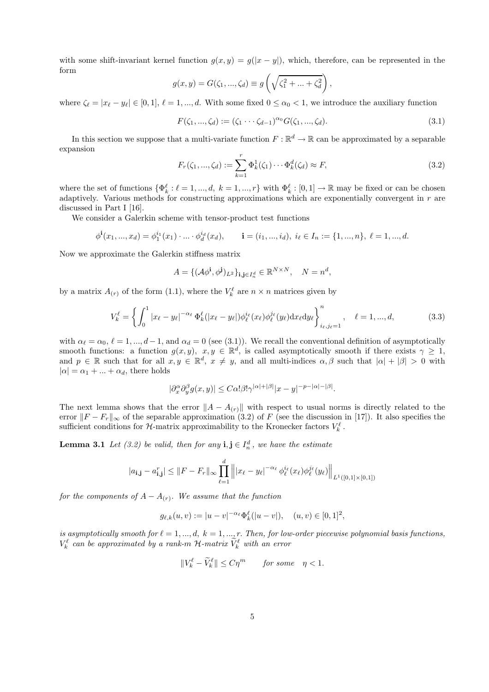with some shift-invariant kernel function  $g(x, y) = g(|x - y|)$ , which, therefore, can be represented in the form

$$
g(x, y) = G(\zeta_1, ..., \zeta_d) \equiv g\left(\sqrt{\zeta_1^2 + ... + \zeta_d^2}\right),
$$

where  $\zeta_{\ell} = |x_{\ell} - y_{\ell}| \in [0, 1], \ell = 1, ..., d$ . With some fixed  $0 \le \alpha_0 < 1$ , we introduce the auxiliary function

$$
F(\zeta_1, ..., \zeta_d) := (\zeta_1 \cdots \zeta_{d-1})^{\alpha_0} G(\zeta_1, ..., \zeta_d).
$$
\n(3.1)

In this section we suppose that a multi-variate function  $F : \mathbb{R}^d \to \mathbb{R}$  can be approximated by a separable expansion

$$
F_r(\zeta_1, ..., \zeta_d) := \sum_{k=1}^r \Phi_k^1(\zeta_1) \cdots \Phi_k^d(\zeta_d) \approx F,
$$
\n(3.2)

where the set of functions  $\{\Phi_k^{\ell} : \ell = 1, ..., d, k = 1, ..., r\}$  with  $\Phi_k^{\ell} : [0, 1] \to \mathbb{R}$  may be fixed or can be chosen adaptively. Various methods for constructing approximations which are exponentially convergent in r are discussed in Part I [16].

We consider a Galerkin scheme with tensor-product test functions

$$
\phi^{\mathbf{i}}(x_1, ..., x_d) = \phi_1^{i_1}(x_1) \cdot ... \cdot \phi_d^{i_d}(x_d), \qquad \mathbf{i} = (i_1, ..., i_d), \ i_\ell \in I_n := \{1, ..., n\}, \ \ell = 1, ..., d.
$$

Now we approximate the Galerkin stiffness matrix

$$
A = \{ (\mathcal{A}\phi^{\mathbf{i}}, \phi^{\mathbf{j}})_{L^2} \}_{\mathbf{i}, \mathbf{j} \in I_n^d} \in \mathbb{R}^{N \times N}, \quad N = n^d,
$$

by a matrix  $A_{(r)}$  of the form (1.1), where the  $V_k^{\ell}$  are  $n \times n$  matrices given by

$$
V_k^{\ell} = \left\{ \int_0^1 |x_{\ell} - y_{\ell}|^{-\alpha_{\ell}} \Phi_k^{\ell}(|x_{\ell} - y_{\ell}|) \phi_{\ell}^{i_{\ell}}(x_{\ell}) \phi_{\ell}^{j_{\ell}}(y_{\ell}) dx_{\ell} dy_{\ell} \right\}_{i_{\ell}, j_{\ell} = 1}^n, \quad \ell = 1, ..., d,
$$
\n(3.3)

with  $\alpha_{\ell} = \alpha_0, \ell = 1, ..., d-1$ , and  $\alpha_d = 0$  (see (3.1)). We recall the conventional definition of asymptotically smooth functions: a function  $g(x, y)$ ,  $x, y \in \mathbb{R}^d$ , is called asymptotically smooth if there exists  $\gamma \ge$ and  $p \in \mathbb{R}$  such that for all  $x, y \in \mathbb{R}^d$ ,  $x \neq y$ , and all multi-indices  $\alpha, \beta$  such that  $|\alpha| + |\beta| > 0$  with  $|\alpha| = \alpha_1 + ... + \alpha_d$ , there holds

$$
|\partial_x^{\alpha}\partial_y^{\beta}g(x,y)| \leq C\alpha |\beta! \gamma^{|\alpha|+|\beta|} |x-y|^{-p-|\alpha|-|\beta|}.
$$

The next lemma shows that the error  $||A - A_{(r)}||$  with respect to usual norms is directly related to the error  $||F - F_r||_{\infty}$  of the separable approximation (3.2) of F (see the discussion in [17]). It also specifies the sufficient conditions for  $\mathcal{H}$ -matrix approximability to the Kronecker factors  $V_k^{\ell}$ .

**Lemma 3.1** *Let* (3.2) be valid, then for any  $\mathbf{i}, \mathbf{j} \in I_n^d$ , we have the estimate

$$
|a_{\mathbf{i},\mathbf{j}} - a_{\mathbf{i},\mathbf{j}}^r| \leq ||F - F_r||_{\infty} \prod_{\ell=1}^d \left\| |x_{\ell} - y_{\ell}|^{-\alpha_{\ell}} \phi_{\ell}^{i_{\ell}}(x_{\ell}) \phi_{\ell}^{j_{\ell}}(y_{\ell}) \right\|_{L^1([0,1]\times[0,1])}
$$

*for the components of*  $A - A_{(r)}$ *. We assume that the function* 

$$
g_{\ell,k}(u,v) := |u - v|^{-\alpha_{\ell}} \Phi_k^{\ell}(|u - v|), \quad (u,v) \in [0,1]^2,
$$

*is asymptotically smooth for*  $l = 1, ..., d$ ,  $k = 1, ..., r$ . *Then, for low-order piecewise polynomial basis functions,*  $V_k^{\ell}$  can be approximated by a rank-m H-matrix  $\widetilde{V}_k^{\ell}$  with an error

$$
||V_k^{\ell} - \widetilde{V}_k^{\ell}|| \le C\eta^m \quad \text{for some} \quad \eta < 1.
$$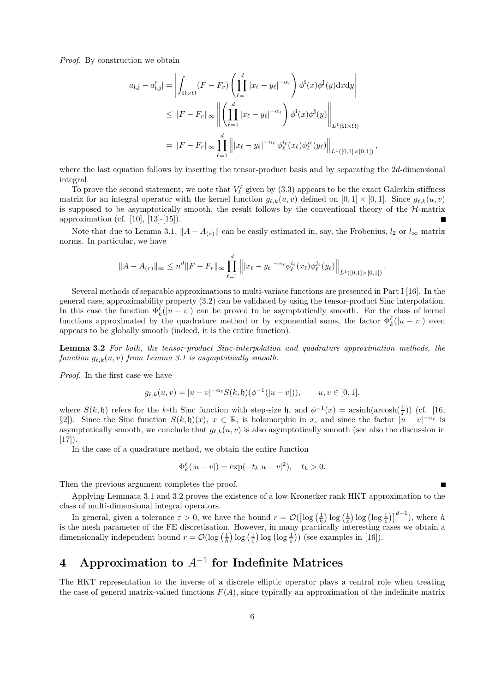*Proof.* By construction we obtain

$$
|a_{\mathbf{i},\mathbf{j}} - a_{\mathbf{i},\mathbf{j}}^r| = \left| \int_{\Omega \times \Omega} (F - F_r) \left( \prod_{\ell=1}^d |x_\ell - y_\ell|^{-\alpha_\ell} \right) \phi^{\mathbf{i}}(x) \phi^{\mathbf{j}}(y) \mathrm{d}x \mathrm{d}y \right|
$$
  
\n
$$
\leq ||F - F_r||_{\infty} \left\| \left( \prod_{\ell=1}^d |x_\ell - y_\ell|^{-\alpha_\ell} \right) \phi^{\mathbf{i}}(x) \phi^{\mathbf{j}}(y) \right\|_{L^1(\Omega \times \Omega)}
$$
  
\n
$$
= ||F - F_r||_{\infty} \prod_{\ell=1}^d \left\| |x_\ell - y_\ell|^{-\alpha_\ell} \phi_\ell^{i_\ell}(x_\ell) \phi_\ell^{j_\ell}(y_\ell) \right\|_{L^1([0,1] \times [0,1])},
$$

where the last equation follows by inserting the tensor-product basis and by separating the 2d-dimensional integral.

To prove the second statement, we note that  $V_k^{\ell}$  given by (3.3) appears to be the exact Galerkin stiffness matrix for an integral operator with the kernel function  $g_{\ell,k}(u, v)$  defined on  $[0, 1] \times [0, 1]$ . Since  $g_{\ell,k}(u, v)$ is supposed to be asymptotically smooth, the result follows by the conventional theory of the  $H$ -matrix approximation (cf. [10], [13]-[15]).

Note that due to Lemma 3.1,  $||A - A_{(r)}||$  can be easily estimated in, say, the Frobenius,  $l_2$  or  $l_{\infty}$  matrix norms. In particular, we have

$$
||A - A_{(r)}||_{\infty} \leq n^d ||F - F_r||_{\infty} \prod_{\ell=1}^d ||x_{\ell} - y_{\ell}|^{-\alpha_{\ell}} \phi_{\ell}^{i_{\ell}}(x_{\ell}) \phi_{\ell}^{j_{\ell}}(y_{\ell})||_{L^1([0,1] \times [0,1])}.
$$

Several methods of separable approximations to multi-variate functions are presented in Part I [16]. In the general case, approximability property (3.2) can be validated by using the tensor-product Sinc interpolation. In this case the function  $\Phi_k^{\ell}(|u-v|)$  can be proved to be asymptotically smooth. For the class of kernel functions approximated by the quadrature method or by exponential sums, the factor  $\Phi_k^{\ell}(|u-v|)$  even appears to be globally smooth (indeed, it is the entire function).

**Lemma 3.2** *For both, the tensor-product Sinc-interpolation and quadrature approximation methods, the function*  $g_{\ell,k}(u, v)$  *from Lemma 3.1 is asymptotically smooth.* 

*Proof.* In the first case we have

$$
g_{\ell,k}(u,v) = |u-v|^{-\alpha_{\ell}} S(k,\mathfrak{h})(\phi^{-1}(|u-v|)), \qquad u, v \in [0,1],
$$

where  $S(k, \mathfrak{h})$  refers for the k-th Sinc function with step-size  $\mathfrak{h}$ , and  $\phi^{-1}(x) = \operatorname{arsinh}(\operatorname{arcosh}(\frac{1}{x}))$  (cf. [16, §2]). Since the Sinc function  $S(k, \mathfrak{h})(x)$ ,  $x \in \mathbb{R}$ , is holomorphic in x, and since the factor  $|u - v|^{-\alpha_{\ell}}$  is asymptotically smooth, we conclude that  $g_{\ell,k}(u, v)$  is also asymptotically smooth (see also the discussion in  $[17]$ ).

In the case of a quadrature method, we obtain the entire function

$$
\Phi_k^{\ell}(|u-v|) = \exp(-t_k|u-v|^2), \quad t_k > 0.
$$

Then the previous argument completes the proof.

Applying Lemmata 3.1 and 3.2 proves the existence of a low Kronecker rank HKT approximation to the class of multi-dimensional integral operators.

In general, given a tolerance  $\varepsilon > 0$ , we have the bound  $r = \mathcal{O}(\left[\log\left(\frac{1}{h}\right) \log\left(\frac{1}{\varepsilon}\right) \log\left(\log\frac{1}{\varepsilon}\right)\right]^{d-1})$ , where h is the mesh parameter of the FE discretisation. However, in many practically interesting cases we obtain a dimensionally independent bound  $r = \mathcal{O}(\log(\frac{1}{h}) \log(\frac{1}{\varepsilon}) \log(\log \frac{1}{\varepsilon}))$  (see examples in [16]).

# **4 Approximation to** *A*<sup>−</sup><sup>1</sup> **for Indefinite Matrices**

The HKT representation to the inverse of a discrete elliptic operator plays a central role when treating the case of general matrix-valued functions  $F(A)$ , since typically an approximation of the indefinite matrix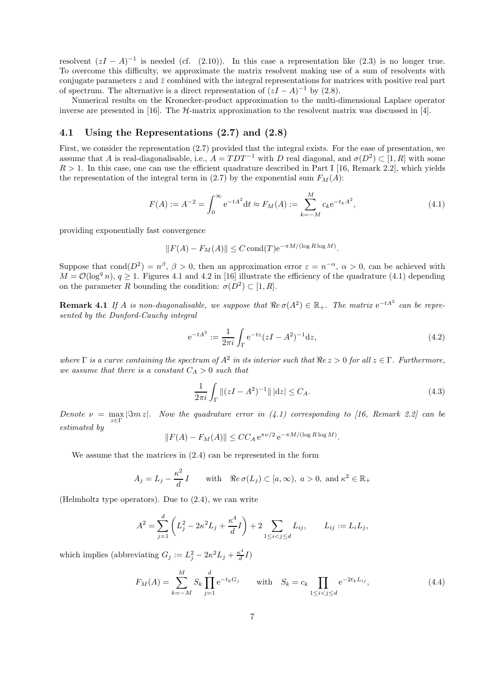resolvent  $(zI - A)^{-1}$  is needed (cf. (2.10)). In this case a representation like (2.3) is no longer true. To overcome this difficulty, we approximate the matrix resolvent making use of a sum of resolvents with conjugate parameters  $z$  and  $\bar{z}$  combined with the integral representations for matrices with positive real part of spectrum. The alternative is a direct representation of  $(zI - A)^{-1}$  by (2.8).

Numerical results on the Kronecker-product approximation to the multi-dimensional Laplace operator inverse are presented in [16]. The  $H$ -matrix approximation to the resolvent matrix was discussed in [4].

#### **4.1 Using the Representations (2.7) and (2.8)**

First, we consider the representation (2.7) provided that the integral exists. For the ease of presentation, we assume that A is real-diagonalisable, i.e.,  $A = TDT^{-1}$  with D real diagonal, and  $\sigma(D^2) \subset [1, R]$  with some  $R > 1$ . In this case, one can use the efficient quadrature described in Part I [16, Remark 2.2], which yields the representation of the integral term in (2.7) by the exponential sum  $F_M(A)$ :

$$
F(A) := A^{-2} = \int_0^\infty e^{-tA^2} dt \approx F_M(A) := \sum_{k=-M}^M c_k e^{-t_k A^2},
$$
\n(4.1)

providing exponentially fast convergence

$$
||F(A) - F_M(A)|| \leq C \operatorname{cond}(T) e^{-\pi M/(\log R \log M)}.
$$

Suppose that cond( $D^2$ ) =  $n^{\beta}$ ,  $\beta > 0$ , then an approximation error  $\varepsilon = n^{-\alpha}$ ,  $\alpha > 0$ , can be achieved with  $M = \mathcal{O}(\log^q n)$ ,  $q \ge 1$ . Figures 4.1 and 4.2 in [16] illustrate the efficiency of the quadrature (4.1) depending on the parameter R bounding the condition:  $\sigma(D^2) \subset [1, R]$ .

**Remark 4.1** *If* A *is non-diagonalisable, we suppose that*  $\Re e \sigma(A^2) \in \mathbb{R}_+$ *. The matrix*  $e^{-tA^2}$  *can be represented by the Dunford-Cauchy integral*

$$
e^{-tA^2} := \frac{1}{2\pi i} \int_{\Gamma} e^{-tz} (zI - A^2)^{-1} dz,
$$
\n(4.2)

*where*  $\Gamma$  *is a curve containing the spectrum of*  $A^2$  *in its interior such that*  $\Re e z > 0$  *for all*  $z \in \Gamma$ *. Furthermore, we assume that there is a constant*  $C_A > 0$  *such that* 

$$
\frac{1}{2\pi i} \int_{\Gamma} \|(zI - A^2)^{-1}\| \, |dz| \le C_A. \tag{4.3}
$$

*Denote*  $\nu = \max|\Im m z|$ *. Now the quadrature error in (4.1) corresponding to [16, Remark 2.2] can be estimated by*

$$
||F(A) - F_M(A)|| \le CC_A e^{\pi \nu/2} e^{-\pi M/(\log R \log M)}.
$$

We assume that the matrices in (2.4) can be represented in the form

$$
A_j = L_j - \frac{\kappa^2}{d}I
$$
 with  $\Re e \sigma(L_j) \subset [a, \infty), a > 0$ , and  $\kappa^2 \in \mathbb{R}_+$ 

(Helmholtz type operators). Due to (2.4), we can write

$$
A^{2} = \sum_{j=1}^{d} \left( L_{j}^{2} - 2\kappa^{2} L_{j} + \frac{\kappa^{4}}{d} I \right) + 2 \sum_{1 \leq i < j \leq d} L_{ij}, \qquad L_{ij} := L_{i} L_{j},
$$

which implies (abbreviating  $G_j := L_j^2 - 2\kappa^2 L_j + \frac{\kappa^4}{d}I$ )

$$
F_M(A) = \sum_{k=-M}^{M} S_k \prod_{j=1}^{d} e^{-t_k G_j} \quad \text{with} \quad S_k = c_k \prod_{1 \le i < j \le d} e^{-2t_k L_{ij}},\tag{4.4}
$$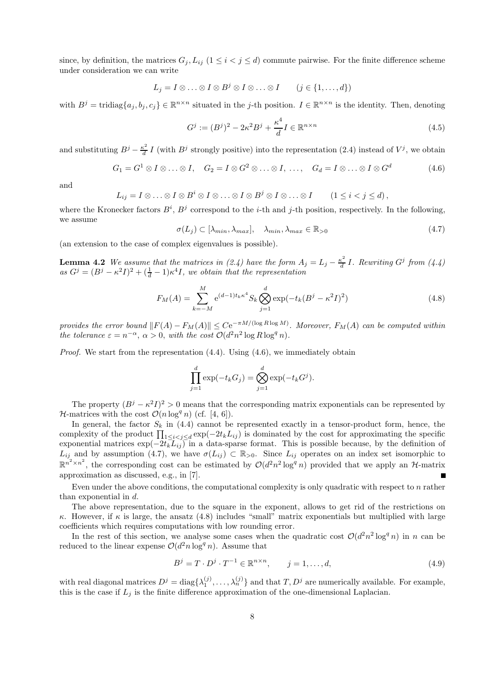since, by definition, the matrices  $G_j, L_{ij}$  ( $1 \leq i < j \leq d$ ) commute pairwise. For the finite difference scheme under consideration we can write

$$
L_j = I \otimes \ldots \otimes I \otimes B^j \otimes I \otimes \ldots \otimes I \qquad (j \in \{1, \ldots, d\})
$$

with  $B^j = \text{tridiag}\{a_j, b_j, c_j\} \in \mathbb{R}^{n \times n}$  situated in the j-th position.  $I \in \mathbb{R}^{n \times n}$  is the identity. Then, denoting

$$
G^{j} := (B^{j})^{2} - 2\kappa^{2}B^{j} + \frac{\kappa^{4}}{d}I \in \mathbb{R}^{n \times n}
$$
\n(4.5)

and substituting  $B^j - \frac{\kappa^2}{d} I$  (with  $B^j$  strongly positive) into the representation (2.4) instead of  $V^j$ , we obtain

$$
G_1 = G^1 \otimes I \otimes \ldots \otimes I, \quad G_2 = I \otimes G^2 \otimes \ldots \otimes I, \; \ldots, \quad G_d = I \otimes \ldots \otimes I \otimes G^d \tag{4.6}
$$

and

$$
L_{ij} = I \otimes \ldots \otimes I \otimes B^i \otimes I \otimes \ldots \otimes I \otimes B^j \otimes I \otimes \ldots \otimes I \qquad (1 \leq i < j \leq d),
$$

where the Kronecker factors  $B^i$ ,  $B^j$  correspond to the *i*-th and *j*-th position, respectively. In the following, we assume

 $\sigma(L_i) \subset [\lambda_{min}, \lambda_{max}], \quad \lambda_{min}, \lambda_{max} \in \mathbb{R}_{>0}$ (4.7)

(an extension to the case of complex eigenvalues is possible).

**Lemma 4.2** We assume that the matrices in (2.4) have the form  $A_j = L_j - \frac{\kappa^2}{d} I$ . Rewriting  $G^j$  from (4.4)  $as\ G^{j}=(B^{j}-\kappa^{2}I)^{2}+(\frac{1}{d}-1)\kappa^{4}I$ , we obtain that the representation

$$
F_M(A) = \sum_{k=-M}^{M} e^{(d-1)t_k \kappa^4} S_k \bigotimes_{j=1}^{d} \exp(-t_k (B^j - \kappa^2 I)^2)
$$
(4.8)

*provides the error bound*  $||F(A) - F_M(A)|| \leq Ce^{-\pi M/(\log R \log M)}$ . Moreover,  $F_M(A)$  can be computed within *the tolerance*  $\varepsilon = n^{-\alpha}$ ,  $\alpha > 0$ , *with the cost*  $\mathcal{O}(d^2 n^2 \log R \log^q n)$ .

*Proof.* We start from the representation  $(4.4)$ . Using  $(4.6)$ , we immediately obtain

$$
\prod_{j=1}^d \exp(-t_k G_j) = \bigotimes_{j=1}^d \exp(-t_k G^j).
$$

The property  $(B^{j} - \kappa^{2} I)^{2} > 0$  means that the corresponding matrix exponentials can be represented by *H*-matrices with the cost  $\mathcal{O}(n \log^q n)$  (cf. [4, 6]).

In general, the factor  $S_k$  in (4.4) cannot be represented exactly in a tensor-product form, hence, the complexity of the product  $\prod_{1 \leq i < j \leq d} \exp(-2t_k L_{ij})$  is dominated by the cost for approximating the specific exponential matrices  $\exp(-2t_k L_{ij})$  in a data-sparse format. This is possible because, by the definition of  $L_{ij}$  and by assumption (4.7), we have  $\sigma(L_{ij}) \subset \mathbb{R}_{>0}$ . Since  $L_{ij}$  operates on an index set isomorphic to  $\mathbb{R}^{2} \times \mathbb{R}^{2}$  $\mathbb{R}^{n^2 \times n^2}$ , the corresponding cost can be estimated by  $\mathcal{O}(d^2n^2 \log^q n)$  provided that we apply an H-matrix approximation as discussed, e.g., in [7].

Even under the above conditions, the computational complexity is only quadratic with respect to n rather than exponential in d.

The above representation, due to the square in the exponent, allows to get rid of the restrictions on κ. However, if κ is large, the ansatz (4.8) includes "small" matrix exponentials but multiplied with large coefficients which requires computations with low rounding error.

In the rest of this section, we analyse some cases when the quadratic cost  $O(d^2n^2 \log^q n)$  in n can be reduced to the linear expense  $\mathcal{O}(d^2 n \log^q n)$ . Assume that

$$
B^j = T \cdot D^j \cdot T^{-1} \in \mathbb{R}^{n \times n}, \qquad j = 1, \dots, d,\tag{4.9}
$$

with real diagonal matrices  $D^j = \text{diag}\{\lambda_1^{(j)}, \ldots, \lambda_n^{(j)}\}$  and that  $T, D^j$  are numerically available. For example, this is the case if  $I_j$  is the finite difference approximation of the one dimensional Laplacian this is the case if  $L_j$  is the finite difference approximation of the one-dimensional Laplacian.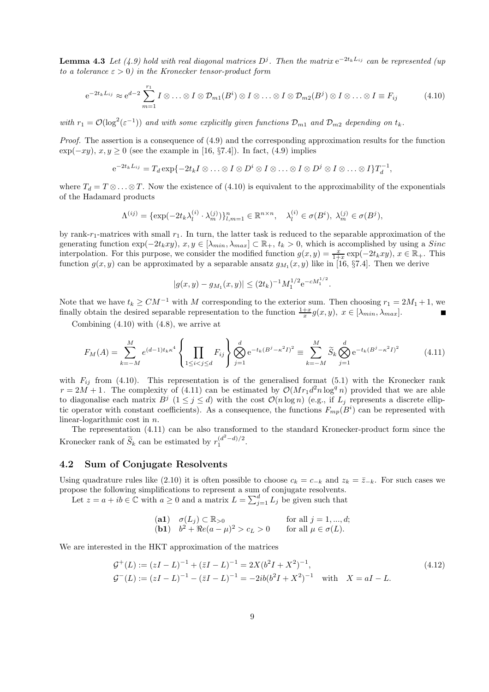**Lemma 4.3** *Let* (4.9) hold with real diagonal matrices  $D^j$ . Then the matrix  $e^{-2t_kL_{ij}}$  *can be represented (up to a tolerance*  $\varepsilon > 0$ *) in the Kronecker tensor-product form* 

$$
e^{-2t_kL_{ij}} \approx e^{d-2} \sum_{m=1}^{r_1} I \otimes \ldots \otimes I \otimes \mathcal{D}_{m1}(B^i) \otimes I \otimes \ldots \otimes I \otimes \mathcal{D}_{m2}(B^j) \otimes I \otimes \ldots \otimes I \equiv F_{ij}
$$
(4.10)

*with*  $r_1 = \mathcal{O}(\log^2(\varepsilon^{-1}))$  *and with some explicitly given functions*  $\mathcal{D}_{m1}$  *and*  $\mathcal{D}_{m2}$  *depending on*  $t_k$ *.* 

*Proof.* The assertion is a consequence of (4.9) and the corresponding approximation results for the function  $\exp(-xy)$ ,  $x, y \ge 0$  (see the example in [16, §7.4]). In fact, (4.9) implies

$$
e^{-2t_kL_{ij}} = T_d \exp\{-2t_kI\otimes \ldots \otimes I\otimes D^i\otimes I\otimes \ldots \otimes I\otimes D^j\otimes I\otimes \ldots \otimes I\}T_d^{-1},
$$

where  $T_d = T \otimes \ldots \otimes T$ . Now the existence of (4.10) is equivalent to the approximability of the exponentials of the Hadamard products

$$
\Lambda^{(ij)} = \{ \exp(-2t_k\lambda_l^{(i)} \cdot \lambda_m^{(j)}) \}_{l,m=1}^n \in \mathbb{R}^{n \times n}, \quad \lambda_l^{(i)} \in \sigma(B^i), \ \lambda_m^{(j)} \in \sigma(B^j),
$$

by rank- $r_1$ -matrices with small  $r_1$ . In turn, the latter task is reduced to the separable approximation of the generating function  $\exp(-2t_kxy)$ ,  $x, y \in [\lambda_{min}, \lambda_{max}] \subset \mathbb{R}_+, t_k > 0$ , which is accomplished by using a *Sinc* interpolation. For this purpose, we consider the modified function  $g(x, y) = \frac{x}{1+x} \exp(-2t_kxy)$ ,  $x \in \mathbb{R}_+$ . This function  $g(x, y)$  can be approximated by a separable ansatz  $g_M(x, y)$  like in [16, 87.4]. Then we derive function  $g(x, y)$  can be approximated by a separable ansatz  $g_{M_1}(x, y)$  like in [16, §7.4]. Then we derive

$$
|g(x,y) - g_{M_1}(x,y)| \le (2t_k)^{-1} M_1^{1/2} e^{-cM_1^{1/2}}.
$$

Note that we have  $t_k \ge CM^{-1}$  with M corresponding to the exterior sum. Then choosing  $r_1 = 2M_1 + 1$ , we finally obtain the desired separable representation to the function  $\frac{1+x}{x}g(x, y)$ ,  $x \in [\lambda_{min}, \lambda_{max}]$ .

Combining (4.10) with (4.8), we arrive at

$$
F_M(A) = \sum_{k=-M}^{M} e^{(d-1)t_k \kappa^4} \left\{ \prod_{1 \le i < j \le d} F_{ij} \right\} \bigotimes_{j=1}^d e^{-t_k (B^j - \kappa^2 I)^2} \equiv \sum_{k=-M}^{M} \widetilde{S}_k \bigotimes_{j=1}^d e^{-t_k (B^j - \kappa^2 I)^2} \tag{4.11}
$$

with  $F_{ij}$  from (4.10). This representation is of the generalised format (5.1) with the Kronecker rank  $r = 2M + 1$ . The complexity of (4.11) can be estimated by  $\mathcal{O}(Mr_1d^2n\log^q n)$  provided that we are able to diagonalise each matrix  $B^j$   $(1 \leq j \leq d)$  with the cost  $\mathcal{O}(n \log n)$  (e.g., if  $L_j$  represents a discrete elliptic operator with constant coefficients). As a consequence, the functions  $F_{mp}(B^i)$  can be represented with linear-logarithmic cost in n.

The representation (4.11) can be also transformed to the standard Kronecker-product form since the Kronecker rank of  $\widetilde{S}_k$  can be estimated by  $r_1^{(d^2-d)/2}$ .

#### **4.2 Sum of Conjugate Resolvents**

Using quadrature rules like (2.10) it is often possible to choose  $c_k = c_{-k}$  and  $z_k = \overline{z}_{-k}$ . For such cases we propose the following simplifications to represent a sum of conjugate resolvents.<br>Let  $z = a + ib \in \mathbb{C}$  with  $a \ge 0$  and a matrix  $L = \sum_{j=1}^{d} L_j$  be given such that

(a1) 
$$
\sigma(L_j) \subset \mathbb{R}_{>0}
$$
 for all  $j = 1, ..., d$ ;  
\n(b1)  $b^2 + \Re e(a - \mu)^2 > c_L > 0$  for all  $\mu \in \sigma(L)$ .

We are interested in the HKT approximation of the matrices

$$
\mathcal{G}^+(L) := (zI - L)^{-1} + (\bar{z}I - L)^{-1} = 2X(b^2I + X^2)^{-1},
$$
  
\n
$$
\mathcal{G}^-(L) := (zI - L)^{-1} - (\bar{z}I - L)^{-1} = -2ib(b^2I + X^2)^{-1} \text{ with } X = aI - L.
$$
\n(4.12)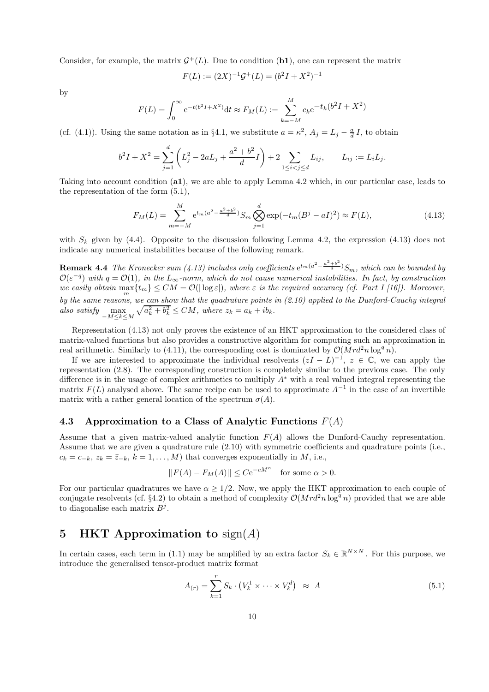Consider, for example, the matrix  $\mathcal{G}^+(L)$ . Due to condition (**b1**), one can represent the matrix

$$
F(L) := (2X)^{-1} \mathcal{G}^+(L) = (b^2 I + X^2)^{-1}
$$

by

$$
F(L) = \int_0^\infty e^{-t(b^2 + X^2)} dt \approx F_M(L) := \sum_{k=-M}^M c_k e^{-t_k(b^2 + X^2)}
$$

(cf. (4.1)). Using the same notation as in §4.1, we substitute  $a = \kappa^2$ ,  $A_j = L_j - \frac{a}{d}I$ , to obtain

$$
b^2I + X^2 = \sum_{j=1}^d \left( L_j^2 - 2aL_j + \frac{a^2 + b^2}{d}I \right) + 2 \sum_{1 \le i < j \le d} L_{ij}, \qquad L_{ij} := L_i L_j.
$$

Taking into account condition (**a1**), we are able to apply Lemma 4.2 which, in our particular case, leads to the representation of the form (5.1),

$$
F_M(L) = \sum_{m=-M}^{M} e^{t_m(a^2 - \frac{a^2 + b^2}{d})} S_m \bigotimes_{j=1}^{d} \exp(-t_m(B^j - aI)^2) \approx F(L), \tag{4.13}
$$

with  $S_k$  given by (4.4). Opposite to the discussion following Lemma 4.2, the expression (4.13) does not indicate any numerical instabilities because of the following remark.

**Remark 4.4** *The Kronecker sum* (4.13) includes only coefficients  $e^{t_m(a^2 - \frac{a^2 + b^2}{d})}S_m$ , which can be bounded by  $\mathcal{O}(\varepsilon^{-q})$  with  $q = \mathcal{O}(1)$ , in the  $L_{\infty}$ -norm, which do not cause numerical instabilities. In fact, by construction *we easily obtain*  $\max_{m} \{t_m\} \le CM = \mathcal{O}(|\log \varepsilon|)$ , where  $\varepsilon$  *is the required accuracy (cf. Part I [16]). Moreover, by the same reasons, we can show that the quadrature points in (2.10) applied to the Dunford-Cauchy integral* also satisfy  $\max_{-M \le k \le M} \sqrt{a_k^2 + b_k^2} \le CM$ , where  $z_k = a_k + ib_k$ .

Representation (4.13) not only proves the existence of an HKT approximation to the considered class of matrix-valued functions but also provides a constructive algorithm for computing such an approximation in real arithmetic. Similarly to (4.11), the corresponding cost is dominated by  $\mathcal{O}(M r d^2 n \log^q n)$ .

If we are interested to approximate the individual resolvents  $(zI - L)^{-1}$ ,  $z \in \mathbb{C}$ , we can apply the representation (2.8). The corresponding construction is completely similar to the previous case. The only difference is in the usage of complex arithmetics to multiply A<sup>∗</sup> with a real valued integral representing the matrix  $F(L)$  analysed above. The same recipe can be used to approximate  $A^{-1}$  in the case of an invertible matrix with a rather general location of the spectrum  $\sigma(A)$ .

#### **4.3 Approximation to a Class of Analytic Functions** *F*(*A*)

Assume that a given matrix-valued analytic function  $F(A)$  allows the Dunford-Cauchy representation. Assume that we are given a quadrature rule (2.10) with symmetric coefficients and quadrature points (i.e.,  $c_k = c_{-k}, z_k = \overline{z}_{-k}, k = 1, \ldots, M$  that converges exponentially in M, i.e.,

$$
||F(A) - F_M(A)|| \le Ce^{-cM^{\alpha}} \quad \text{for some } \alpha > 0.
$$

For our particular quadratures we have  $\alpha \geq 1/2$ . Now, we apply the HKT approximation to each couple of conjugate resolvents (cf. §4.2) to obtain a method of complexity  $\mathcal{O}(Mrd^2n\log^q n)$  provided that we are able to diagonalise each matrix  $B^j$ .

# **5 HKT Approximation to** sign(*A*)

In certain cases, each term in (1.1) may be amplified by an extra factor  $S_k \in \mathbb{R}^{N \times N}$ . For this purpose, we introduce the generalised tensor-product matrix format

$$
A_{(r)} = \sum_{k=1}^{r} S_k \cdot (V_k^1 \times \dots \times V_k^d) \approx A \tag{5.1}
$$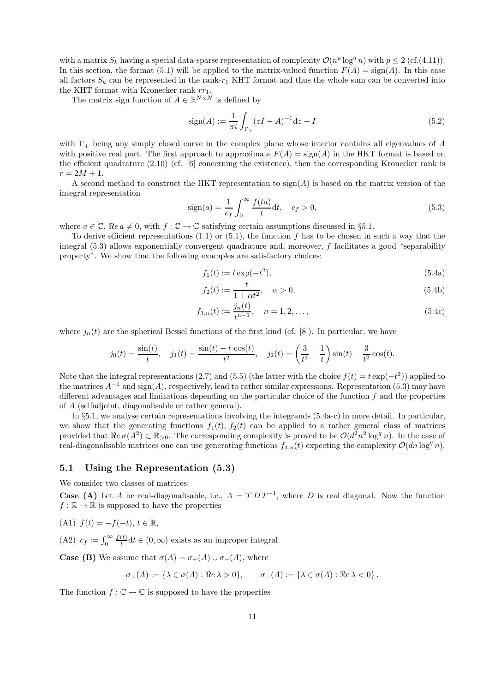with a matrix  $S_k$  having a special data-sparse representation of complexity  $\mathcal{O}(n^p \log^q n)$  with  $p \leq 2$  (cf.(4.11)). In this section, the format (5.1) will be applied to the matrix-valued function  $F(A) = \text{sign}(A)$ . In this case all factors  $S_k$  can be represented in the rank- $r_1$  KHT format and thus the whole sum can be converted into the KHT format with Kronecker rank  $rr_1$ .

The matrix sign function of  $A \in \mathbb{R}^{N \times N}$  is defined by

$$
sign(A) := \frac{1}{\pi i} \int_{\Gamma_+} (zI - A)^{-1} dz - I
$$
\n(5.2)

with  $\Gamma_{+}$  being any simply closed curve in the complex plane whose interior contains all eigenvalues of A with positive real part. The first approach to approximate  $F(A) = \text{sign}(A)$  in the HKT format is based on the efficient quadrature (2.10) (cf. [6] concerning the existence), then the corresponding Kronecker rank is  $r = 2M + 1.$ 

A second method to construct the HKT representation to  $sign(A)$  is based on the matrix version of the integral representation

$$
sign(a) = \frac{1}{c_f} \int_0^\infty \frac{f(ta)}{t} dt, \quad c_f > 0,
$$
\n
$$
(5.3)
$$

where  $a \in \mathbb{C}$ ,  $\Re e \, a \neq 0$ , with  $f : \mathbb{C} \to \mathbb{C}$  satisfying certain assumptions discussed in §5.1.

To derive efficient representations  $(1.1)$  or  $(5.1)$ , the function f has to be chosen in such a way that the integral  $(5.3)$  allows exponentially convergent quadrature and, moreover, f facilitates a good "separability" property". We show that the following examples are satisfactory choices:

$$
f_1(t) := t \exp(-t^2),\tag{5.4a}
$$

$$
f_2(t) := \frac{t}{1 + \alpha t^2}, \quad \alpha > 0,
$$
\n(5.4b)

$$
f_{3,n}(t) := \frac{j_n(t)}{t^{n-1}}, \quad n = 1, 2, \dots,
$$
\n(5.4c)

where  $j_n(t)$  are the spherical Bessel functions of the first kind (cf. [8]). In particular, we have

$$
j_0(t) = \frac{\sin(t)}{t}, \quad j_1(t) = \frac{\sin(t) - t \cos(t)}{t^2}, \quad j_2(t) = \left(\frac{3}{t^3} - \frac{1}{t}\right) \sin(t) - \frac{3}{t^2} \cos(t).
$$

Note that the integral representations (2.7) and (5.5) (the latter with the choice  $f(t) = t \exp(-t^2)$ ) applied to the matrices  $A^{-1}$  and sign(A), respectively, lead to rather similar expressions. Representation (5.3) may have different advantages and limitations depending on the particular choice of the function  $f$  and the properties of A (selfadjoint, diagonalisable or rather general).

In §5.1, we analyse certain representations involving the integrands (5.4a-c) in more detail. In particular, we show that the generating functions  $f_1(t)$ ,  $f_2(t)$  can be applied to a rather general class of matrices provided that  $\Re e \sigma(A^2) \subset \mathbb{R}_{>0}$ . The corresponding complexity is proved to be  $\mathcal{O}(d^2n^2 \log^q n)$ . In the case of real-diagonalisable matrices one can use generating functions  $f_{3,n}(t)$  expecting the complexity  $\mathcal{O}(dn \log^q n)$ .

#### **5.1 Using the Representation (5.3)**

We consider two classes of matrices:

**Case (A)** Let A be real-diagonalisable, i.e.,  $A = T D T^{-1}$ , where D is real diagonal. Now the function  $f : \mathbb{R} \to \mathbb{R}$  is supposed to have the properties

(A1) 
$$
f(t) = -f(-t), t \in \mathbb{R}
$$
,

(A2)  $c_f := \int_0^\infty \frac{f(t)}{t} dt \in (0, \infty)$  exists as an improper integral.

**Case (B)** We assume that  $\sigma(A) = \sigma_+(A) \cup \sigma_-(A)$ , where

$$
\sigma_+(A) := \{ \lambda \in \sigma(A) : \Re e \lambda > 0 \}, \qquad \sigma_-(A) := \{ \lambda \in \sigma(A) : \Re e \lambda < 0 \}.
$$

The function  $f: \mathbb{C} \to \mathbb{C}$  is supposed to have the properties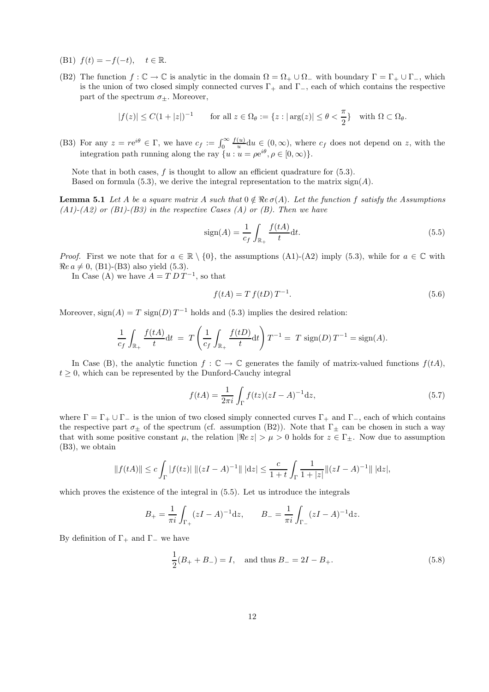- (B1)  $f(t) = -f(-t)$ ,  $t \in \mathbb{R}$ .
- (B2) The function  $f: \mathbb{C} \to \mathbb{C}$  is analytic in the domain  $\Omega = \Omega_+ \cup \Omega_-$  with boundary  $\Gamma = \Gamma_+ \cup \Gamma_-,$  which is the union of two closed simply connected curves  $\Gamma_+$  and  $\Gamma_-$ , each of which contains the respective part of the spectrum  $\sigma_{\pm}$ . Moreover,

$$
|f(z)| \le C(1+|z|)^{-1} \qquad \text{for all } z \in \Omega_{\theta} := \{z : |\arg(z)| \le \theta < \frac{\pi}{2}\} \quad \text{with } \Omega \subset \Omega_{\theta}.
$$

(B3) For any  $z = re^{i\theta} \in \Gamma$ , we have  $c_f := \int_0^\infty$ <br>integration path running along the ray  $\{y\}$  $\frac{f(u)}{u}du \in (0,\infty)$ , where  $c_f$  does not depend on z, with the integration path running along the ray  $\{u : u = \rho e^{i\theta}, \rho \in [0, \infty)\}.$ 

Note that in both cases,  $f$  is thought to allow an efficient quadrature for  $(5.3)$ . Based on formula (5.3), we derive the integral representation to the matrix  $sign(A)$ .

**Lemma 5.1** *Let* A *be a square matrix* A *such that*  $0 \notin \mathbb{R}e\sigma(A)$ *. Let the function* f *satisfy the Assumptions (A1)-(A2) or (B1)-(B3) in the respective Cases (A) or (B). Then we have*

$$
sign(A) = \frac{1}{c_f} \int_{\mathbb{R}_+} \frac{f(tA)}{t} dt.
$$
\n(5.5)

*Proof.* First we note that for  $a \in \mathbb{R} \setminus \{0\}$ , the assumptions (A1)-(A2) imply (5.3), while for  $a \in \mathbb{C}$  with  $Re\ a \neq 0$ , (B1)-(B3) also yield (5.3).

In Case (A) we have  $A = T D T^{-1}$ , so that

$$
f(tA) = T f(tD) T^{-1}.
$$
\n
$$
(5.6)
$$

Moreover,  $sign(A) = T sign(D) T^{-1}$  holds and (5.3) implies the desired relation:

$$
\frac{1}{c_f} \int_{\mathbb{R}_+} \frac{f(tA)}{t} dt = T \left( \frac{1}{c_f} \int_{\mathbb{R}_+} \frac{f(tD)}{t} dt \right) T^{-1} = T \operatorname{sign}(D) T^{-1} = \operatorname{sign}(A).
$$

In Case (B), the analytic function  $f: \mathbb{C} \to \mathbb{C}$  generates the family of matrix-valued functions  $f(tA)$ ,  $t \geq 0$ , which can be represented by the Dunford-Cauchy integral

$$
f(tA) = \frac{1}{2\pi i} \int_{\Gamma} f(tz)(zI - A)^{-1} dz,
$$
\n(5.7)

where  $\Gamma = \Gamma_+ \cup \Gamma_-$  is the union of two closed simply connected curves  $\Gamma_+$  and  $\Gamma_-$ , each of which contains the respective part  $\sigma_{\pm}$  of the spectrum (cf. assumption (B2)). Note that  $\Gamma_{\pm}$  can be chosen in such a way that with some positive constant  $\mu$ , the relation  $|\Re z| > \mu > 0$  holds for  $z \in \Gamma_{\pm}$ . Now due to assumption (B3), we obtain

$$
||f(tA)|| \leq c \int_{\Gamma} |f(tz)| \, ||(zI - A)^{-1}|| \, |dz| \leq \frac{c}{1+t} \int_{\Gamma} \frac{1}{1+|z|} ||(zI - A)^{-1}|| \, |dz|,
$$

which proves the existence of the integral in (5.5). Let us introduce the integrals

$$
B_{+} = \frac{1}{\pi i} \int_{\Gamma_{+}} (zI - A)^{-1} dz, \qquad B_{-} = \frac{1}{\pi i} \int_{\Gamma_{-}} (zI - A)^{-1} dz.
$$

By definition of  $\Gamma_+$  and  $\Gamma_-$  we have

$$
\frac{1}{2}(B_{+} + B_{-}) = I, \text{ and thus } B_{-} = 2I - B_{+}.
$$
 (5.8)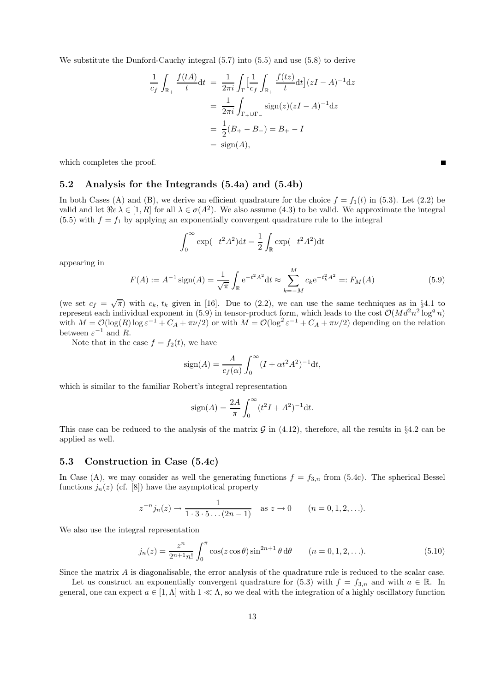We substitute the Dunford-Cauchy integral (5.7) into (5.5) and use (5.8) to derive

$$
\frac{1}{c_f} \int_{\mathbb{R}_+} \frac{f(tA)}{t} dt = \frac{1}{2\pi i} \int_{\Gamma} \left[ \frac{1}{c_f} \int_{\mathbb{R}_+} \frac{f(tz)}{t} dt \right] (zI - A)^{-1} dz
$$
  
\n
$$
= \frac{1}{2\pi i} \int_{\Gamma_+ \cup \Gamma_-} \text{sign}(z) (zI - A)^{-1} dz
$$
  
\n
$$
= \frac{1}{2} (B_+ - B_-) = B_+ - I
$$
  
\n
$$
= \text{sign}(A),
$$

which completes the proof.

#### **5.2 Analysis for the Integrands (5.4a) and (5.4b)**

In both Cases (A) and (B), we derive an efficient quadrature for the choice  $f = f_1(t)$  in (5.3). Let (2.2) be valid and let  $\Re e \lambda \in [1, R]$  for all  $\lambda \in \sigma(A^2)$ . We also assume (4.3) to be valid. We approximate the integral (5.5) with  $f = f_1$  by applying an exponentially convergent quadrature rule to the integral

$$
\int_0^{\infty} \exp(-t^2 A^2) dt = \frac{1}{2} \int_{\mathbb{R}} \exp(-t^2 A^2) dt
$$

appearing in

$$
F(A) := A^{-1} \operatorname{sign}(A) = \frac{1}{\sqrt{\pi}} \int_{\mathbb{R}} e^{-t^2 A^2} dt \approx \sum_{k=-M}^{M} c_k e^{-t_k^2 A^2} =: F_M(A)
$$
 (5.9)

(we set  $c_f = \sqrt{\pi}$ ) with  $c_k$ ,  $t_k$  given in [16]. Due to (2.2), we can use the same techniques as in §4.1 to represent each individual exponent in (5.9) in tensor-product form, which leads to the cost  $\mathcal{O}(Md^2n^2 \log^q n)$ with  $M = \mathcal{O}(\log(R) \log \varepsilon^{-1} + C_A + \pi \nu/2)$  or with  $M = \mathcal{O}(\log^2 \varepsilon^{-1} + C_A + \pi \nu/2)$  depending on the relation between  $\varepsilon^{-1}$  and R.

Note that in the case  $f = f_2(t)$ , we have

$$
sign(A) = \frac{A}{c_f(\alpha)} \int_0^\infty (I + \alpha t^2 A^2)^{-1} dt,
$$

which is similar to the familiar Robert's integral representation

$$
sign(A) = \frac{2A}{\pi} \int_0^{\infty} (t^2 I + A^2)^{-1} dt.
$$

This case can be reduced to the analysis of the matrix  $\mathcal G$  in (4.12), therefore, all the results in §4.2 can be applied as well.

#### **5.3 Construction in Case (5.4c)**

In Case (A), we may consider as well the generating functions  $f = f_{3,n}$  from (5.4c). The spherical Bessel functions  $j_n(z)$  (cf. [8]) have the asymptotical property

$$
z^{-n}j_n(z) \to \frac{1}{1 \cdot 3 \cdot 5 \dots (2n-1)}
$$
 as  $z \to 0$   $(n = 0, 1, 2, \dots).$ 

We also use the integral representation

$$
j_n(z) = \frac{z^n}{2^{n+1}n!} \int_0^{\pi} \cos(z \cos \theta) \sin^{2n+1} \theta \, d\theta \qquad (n = 0, 1, 2, ...).
$$
 (5.10)

Since the matrix A is diagonalisable, the error analysis of the quadrature rule is reduced to the scalar case.

Let us construct an exponentially convergent quadrature for (5.3) with  $f = f_{3,n}$  and with  $a \in \mathbb{R}$ . In general, one can expect  $a \in [1,\Lambda]$  with  $1 \ll \Lambda$ , so we deal with the integration of a highly oscillatory function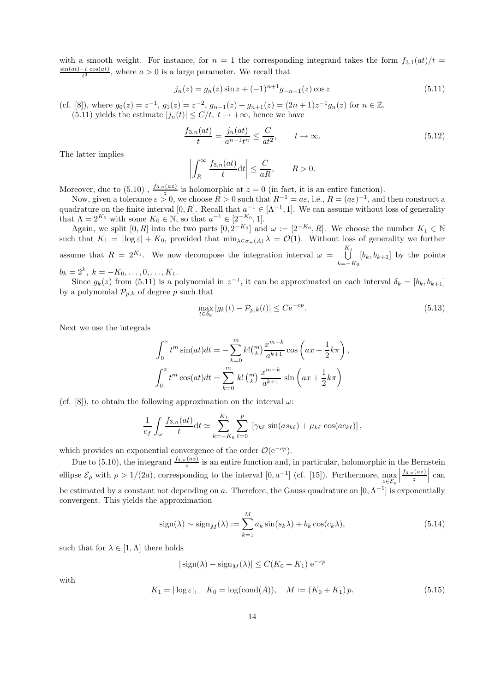with a smooth weight. For instance, for  $n = 1$  the corresponding integrand takes the form  $f_{3,1}(at)/t =$  $\frac{\sin(at)-t\cos(at)}{t^3}$ , where  $a>0$  is a large parameter. We recall that

$$
j_n(z) = g_n(z) \sin z + (-1)^{n+1} g_{-n-1}(z) \cos z \tag{5.11}
$$

(cf. [8]), where  $g_0(z) = z^{-1}$ ,  $g_1(z) = z^{-2}$ ,  $g_{n-1}(z) + g_{n+1}(z) = (2n+1)z^{-1}g_n(z)$  for  $n \in \mathbb{Z}$ . (5.11) yields the estimate  $|j_n(t)| \leq C/t$ ,  $t \to +\infty$ , hence we have

$$
\frac{f_{3,n}(at)}{t} = \frac{j_n(at)}{a^{n-1}t^n} \le \frac{C}{at^2}, \qquad t \to \infty.
$$
 (5.12)

The latter implies

$$
\left| \int_{R}^{\infty} \frac{f_{3,n}(at)}{t} \mathrm{d}t \right| \leq \frac{C}{aR}, \qquad R > 0.
$$

Moreover, due to (5.10),  $\frac{f_{3,n}(az)}{z}$  is holomorphic at  $z=0$  (in fact, it is an entire function).

Now, given a tolerance  $\varepsilon > 0$ , we choose  $R > 0$  such that  $R^{-1} = a\varepsilon$ , i.e.,  $R = (a\varepsilon)^{-1}$ , and then construct a quadrature on the finite interval [0, R]. Recall that  $a^{-1} \in [\Lambda^{-1}, 1]$ . We can assume without loss of generality that  $\Lambda = 2^{K_0}$  with some  $K_0 \in \mathbb{N}$ , so that  $a^{-1} \in [2^{-K_0}, 1]$ .

Again, we split  $[0, R]$  into the two parts  $[0, 2^{-K_0}]$  and  $\omega := [2^{-K_0}, R]$ . We choose the number  $K_1 \in \mathbb{N}$ such that  $K_1 = |\log \varepsilon| + K_0$ , provided that  $\min_{\lambda \in \sigma_+(A)} \lambda = \mathcal{O}(1)$ . Without loss of generality we further assume that  $R = 2^{K_1}$ . We now decompose the integration interval  $\omega = \bigcup_{k=1}^{K_1}$  $\bigcup_{k=-K_0} [b_k, b_{k+1}]$  by the points  $b_k = 2^k, \ k = -K_0, \ldots, 0, \ldots, K_1.$ 

Since  $g_k(z)$  from (5.11) is a polynomial in  $z^{-1}$ , it can be approximated on each interval  $\delta_k = [b_k, b_{k+1}]$ by a polynomial  $\mathcal{P}_{p,k}$  of degree p such that

$$
\max_{t \in \delta_k} |g_k(t) - \mathcal{P}_{p,k}(t)| \le C e^{-cp}.
$$
\n(5.13)

Next we use the integrals

$$
\int_0^x t^m \sin(at) dt = -\sum_{k=0}^m k! \binom{m}{k} \frac{x^{m-k}}{a^{k+1}} \cos\left(ax + \frac{1}{2}k\pi\right),
$$
  

$$
\int_0^x t^m \cos(at) dt = \sum_{k=0}^m k! \binom{m}{k} \frac{x^{m-k}}{a^{k+1}} \sin\left(ax + \frac{1}{2}k\pi\right)
$$

(cf. [8]), to obtain the following approximation on the interval  $\omega$ :

$$
\frac{1}{c_f} \int_{\omega} \frac{f_{3,n}(at)}{t} dt \simeq \sum_{k=-K_0}^{K_1} \sum_{\ell=0}^p \left[ \gamma_{k\ell} \sin(as_{k\ell}) + \mu_{k\ell} \cos(ac_{k\ell}) \right],
$$

which provides an exponential convergence of the order  $\mathcal{O}(e^{-cp})$ .

Due to (5.10), the integrand  $\frac{f_{3,n}(az)}{z}$  is an entire function and, in particular, holomorphic in the Bernstein ellipse  $\mathcal{E}_{\rho}$  with  $\rho > 1/(2a)$ , corresponding to the interval  $[0, a^{-1}]$  (cf. [15]). Furthermore,  $\max_{z \in \mathcal{E}_{\rho}}$  $\frac{f_{3,n}(az)}{z}$ can be estimated by a constant not depending on a. Therefore, the Gauss quadrature on  $[0, \Lambda^{-1}]$  is exponentially convergent. This yields the approximation

$$
sign(\lambda) \sim sign_M(\lambda) := \sum_{k=1}^{M} a_k sin(s_k \lambda) + b_k cos(c_k \lambda),
$$
\n(5.14)

such that for  $\lambda \in [1, \Lambda]$  there holds

$$
|\operatorname{sign}(\lambda) - \operatorname{sign}_M(\lambda)| \le C(K_0 + K_1) e^{-cp}
$$

with

$$
K_1 = |\log \varepsilon|, \quad K_0 = \log(\text{cond}(A)), \quad M := (K_0 + K_1)p.
$$
 (5.15)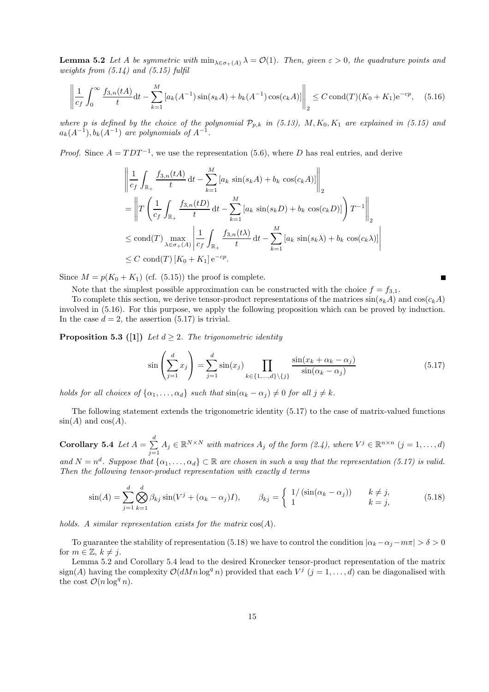**Lemma 5.2** *Let* A *be symmetric with*  $\min_{\lambda \in \sigma_+(A)} \lambda = \mathcal{O}(1)$ *. Then, given*  $\varepsilon > 0$ *, the quadrature points and weights from (5.14) and (5.15) fulfil*

$$
\left\| \frac{1}{c_f} \int_0^\infty \frac{f_{3,n}(tA)}{t} dt - \sum_{k=1}^M \left[ a_k(A^{-1}) \sin(s_k A) + b_k(A^{-1}) \cos(c_k A) \right] \right\|_2 \le C \operatorname{cond}(T)(K_0 + K_1) e^{-c_p}, \quad (5.16)
$$

*where* p *is defined by the choice of the polynomial*  $\mathcal{P}_{p,k}$  *in (5.13),*  $M, K_0, K_1$  *are explained in (5.15) and*  $a_k(A^{-1}), b_k(A^{-1})$  *are polynomials of*  $A^{-1}$ .

*Proof.* Since  $A = TDT^{-1}$ , we use the representation (5.6), where D has real entries, and derive

$$
\left\| \frac{1}{c_f} \int_{\mathbb{R}_+} \frac{f_{3,n}(tA)}{t} dt - \sum_{k=1}^M \left[ a_k \sin(s_k A) + b_k \cos(c_k A) \right] \right\|_2
$$
  
\n
$$
= \left\| T \left( \frac{1}{c_f} \int_{\mathbb{R}_+} \frac{f_{3,n}(tD)}{t} dt - \sum_{k=1}^M \left[ a_k \sin(s_k D) + b_k \cos(c_k D) \right] \right) T^{-1} \right\|_2
$$
  
\n
$$
\leq \text{cond}(T) \max_{\lambda \in \sigma_+(A)} \left| \frac{1}{c_f} \int_{\mathbb{R}_+} \frac{f_{3,n}(t\lambda)}{t} dt - \sum_{k=1}^M \left[ a_k \sin(s_k \lambda) + b_k \cos(c_k \lambda) \right] \right|
$$
  
\n
$$
\leq C \text{ cond}(T) \left[ K_0 + K_1 \right] e^{-c p}.
$$

Since  $M = p(K_0 + K_1)$  (cf. (5.15)) the proof is complete.

Note that the simplest possible approximation can be constructed with the choice  $f = f_{3,1}$ .

To complete this section, we derive tensor-product representations of the matrices  $\sin(s_kA)$  and  $\cos(c_kA)$ involved in (5.16). For this purpose, we apply the following proposition which can be proved by induction. In the case  $d = 2$ , the assertion (5.17) is trivial.

**Proposition 5.3 ([1])** *Let*  $d \geq 2$ *. The trigonometric identity* 

$$
\sin\left(\sum_{j=1}^d x_j\right) = \sum_{j=1}^d \sin(x_j) \prod_{k \in \{1, \dots, d\} \setminus \{j\}} \frac{\sin(x_k + \alpha_k - \alpha_j)}{\sin(\alpha_k - \alpha_j)}\tag{5.17}
$$

*holds for all choices of*  $\{\alpha_1, \dots, \alpha_d\}$  *such that*  $\sin(\alpha_k - \alpha_j) \neq 0$  *for all*  $j \neq k$ *.* 

The following statement extends the trigonometric identity (5.17) to the case of matrix-valued functions  $sin(A)$  and  $cos(A)$ .

 $\bf{Corollary 5.4}$   $\it{Let A = \sum}$ d  $\overline{j=1}$  $A_j \in \mathbb{R}^{N \times N}$  *with matrices*  $A_j$  *of the form (2.4), where*  $V^j \in \mathbb{R}^{n \times n}$   $(j = 1, ..., d)$ 

and  $N = n^d$ . Suppose that  $\{\alpha_1, \ldots, \alpha_d\} \subset \mathbb{R}$  are chosen in such a way that the representation (5.17) is valid. *Then the following tensor-product representation with exactly* d *terms*

$$
\sin(A) = \sum_{j=1}^{d} \bigotimes_{k=1}^{d} \beta_{kj} \sin(V^j + (\alpha_k - \alpha_j)I), \qquad \beta_{kj} = \begin{cases} 1/(\sin(\alpha_k - \alpha_j)) & k \neq j, \\ 1 & k = j, \end{cases}
$$
(5.18)

*holds. A similar representation exists for the matrix* cos(A)*.*

To guarantee the stability of representation (5.18) we have to control the condition  $|\alpha_k - \alpha_j - m\pi| > \delta > 0$ for  $m \in \mathbb{Z}, k \neq j$ .

Lemma 5.2 and Corollary 5.4 lead to the desired Kronecker tensor-product representation of the matrix  $sign(A)$  having the complexity  $\mathcal{O}(dMn \log^q n)$  provided that each  $V^j$   $(j = 1, ..., d)$  can be diagonalised with the cost  $\mathcal{O}(n \log^q n)$ .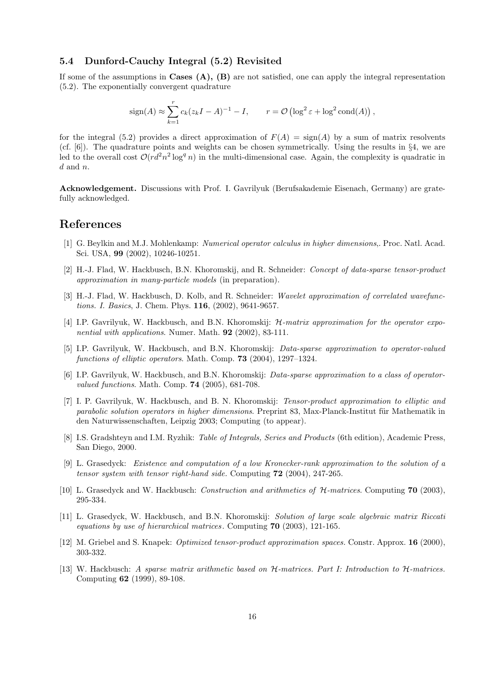#### **5.4 Dunford-Cauchy Integral (5.2) Revisited**

If some of the assumptions in **Cases (A), (B)** are not satisfied, one can apply the integral representation (5.2). The exponentially convergent quadrature

$$
sign(A) \approx \sum_{k=1}^{r} c_k (z_k I - A)^{-1} - I, \qquad r = \mathcal{O}\left(\log^2 \varepsilon + \log^2 \text{cond}(A)\right),
$$

for the integral (5.2) provides a direct approximation of  $F(A) = \text{sign}(A)$  by a sum of matrix resolvents (cf.  $[6]$ ). The quadrature points and weights can be chosen symmetrically. Using the results in §4, we are led to the overall cost  $\mathcal{O}(r d^2 n^2 \log^q n)$  in the multi-dimensional case. Again, the complexity is quadratic in  $d$  and  $n$ .

**Acknowledgement.** Discussions with Prof. I. Gavrilyuk (Berufsakademie Eisenach, Germany) are gratefully acknowledged.

### **References**

- [1] G. Beylkin and M.J. Mohlenkamp: *Numerical operator calculus in higher dimensions*,. Proc. Natl. Acad. Sci. USA, **99** (2002), 10246-10251.
- [2] H.-J. Flad, W. Hackbusch, B.N. Khoromskij, and R. Schneider: *Concept of data-sparse tensor-product approximation in many-particle models* (in preparation).
- [3] H.-J. Flad, W. Hackbusch, D. Kolb, and R. Schneider: *Wavelet approximation of correlated wavefunctions. I. Basics*, J. Chem. Phys. **116**, (2002), 9641-9657.
- [4] I.P. Gavrilyuk, W. Hackbusch, and B.N. Khoromskij: H*-matrix approximation for the operator exponential with applications*. Numer. Math. **92** (2002), 83-111.
- [5] I.P. Gavrilyuk, W. Hackbusch, and B.N. Khoromskij: *Data-sparse approximation to operator-valued functions of elliptic operators*. Math. Comp. **73** (2004), 1297–1324.
- [6] I.P. Gavrilyuk, W. Hackbusch, and B.N. Khoromskij: *Data-sparse approximation to a class of operatorvalued functions*. Math. Comp. **74** (2005), 681-708.
- [7] I. P. Gavrilyuk, W. Hackbusch, and B. N. Khoromskij: *Tensor-product approximation to elliptic and parabolic solution operators in higher dimensions*. Preprint 83, Max-Planck-Institut für Mathematik in den Naturwissenschaften, Leipzig 2003; Computing (to appear).
- [8] I.S. Gradshteyn and I.M. Ryzhik: *Table of Integrals, Series and Products* (6th edition), Academic Press, San Diego, 2000.
- [9] L. Grasedyck: *Existence and computation of a low Kronecker-rank approximation to the solution of a tensor system with tensor right-hand side.* Computing **72** (2004), 247-265.
- [10] L. Grasedyck and W. Hackbusch: *Construction and arithmetics of* H*-matrices*. Computing **70** (2003), 295-334.
- [11] L. Grasedyck, W. Hackbusch, and B.N. Khoromskij: *Solution of large scale algebraic matrix Riccati equations by use of hierarchical matrices .* Computing **70** (2003), 121-165.
- [12] M. Griebel and S. Knapek: *Optimized tensor-product approximation spaces.* Constr. Approx. **16** (2000), 303-332.
- [13] W. Hackbusch: *A sparse matrix arithmetic based on* H*-matrices. Part I: Introduction to* H*-matrices.* Computing **62** (1999), 89-108.